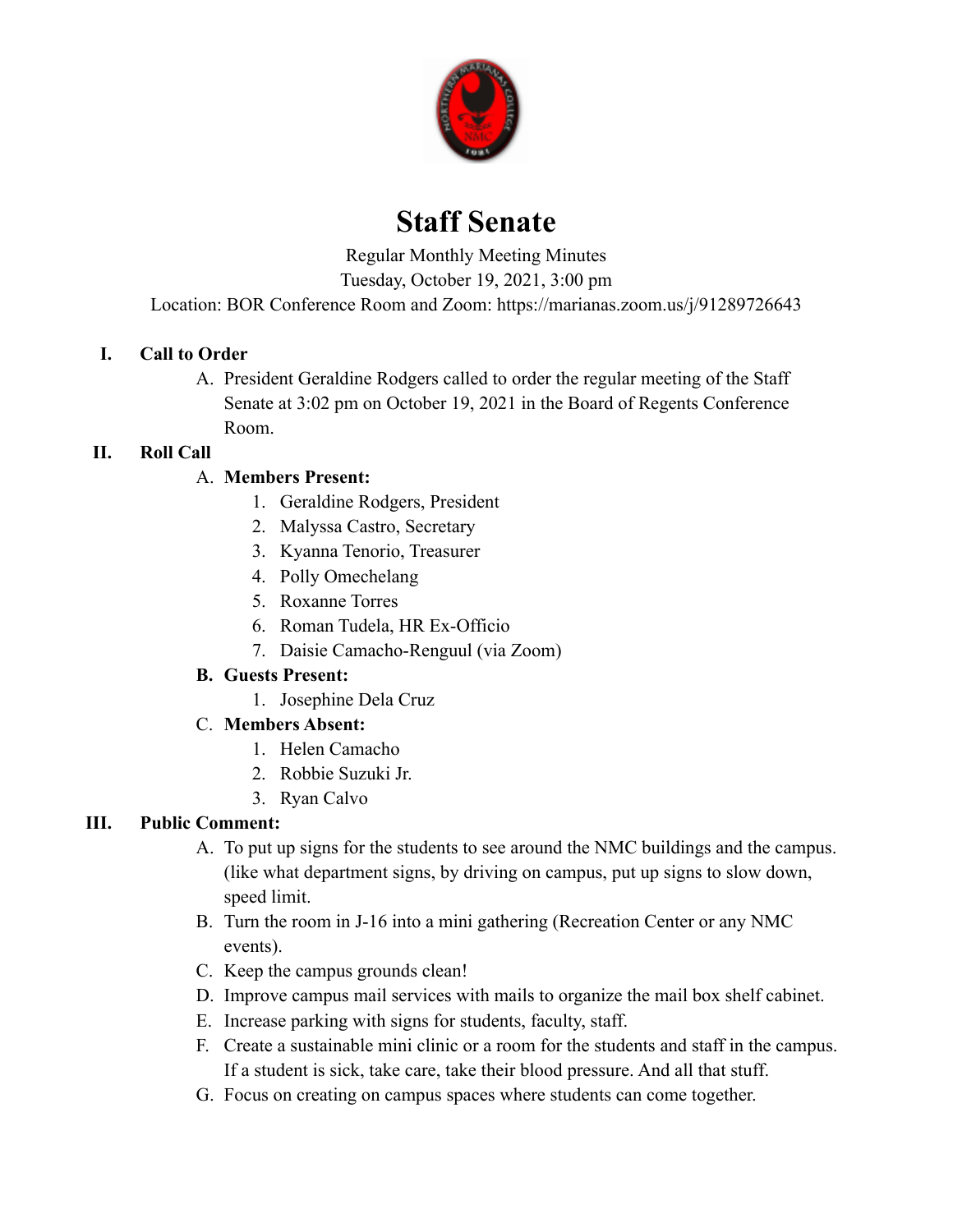

# **Staff Senate**

Regular Monthly Meeting Minutes

Tuesday, October 19, 2021, 3:00 pm

Location: BOR Conference Room and Zoom: https://marianas.zoom.us/j/91289726643

# **I. Call to Order**

A. President Geraldine Rodgers called to order the regular meeting of the Staff Senate at 3:02 pm on October 19, 2021 in the Board of Regents Conference Room.

# **II. Roll Call**

# A. **Members Present:**

- 1. Geraldine Rodgers, President
- 2. Malyssa Castro, Secretary
- 3. Kyanna Tenorio, Treasurer
- 4. Polly Omechelang
- 5. Roxanne Torres
- 6. Roman Tudela, HR Ex-Officio
- 7. Daisie Camacho-Renguul (via Zoom)

# **B. Guests Present:**

1. Josephine Dela Cruz

# C. **Members Absent:**

- 1. Helen Camacho
- 2. Robbie Suzuki Jr.
- 3. Ryan Calvo

# **III. Public Comment:**

- A. To put up signs for the students to see around the NMC buildings and the campus. (like what department signs, by driving on campus, put up signs to slow down, speed limit.
- B. Turn the room in J-16 into a mini gathering (Recreation Center or any NMC events).
- C. Keep the campus grounds clean!
- D. Improve campus mail services with mails to organize the mail box shelf cabinet.
- E. Increase parking with signs for students, faculty, staff.
- F. Create a sustainable mini clinic or a room for the students and staff in the campus. If a student is sick, take care, take their blood pressure. And all that stuff.
- G. Focus on creating on campus spaces where students can come together.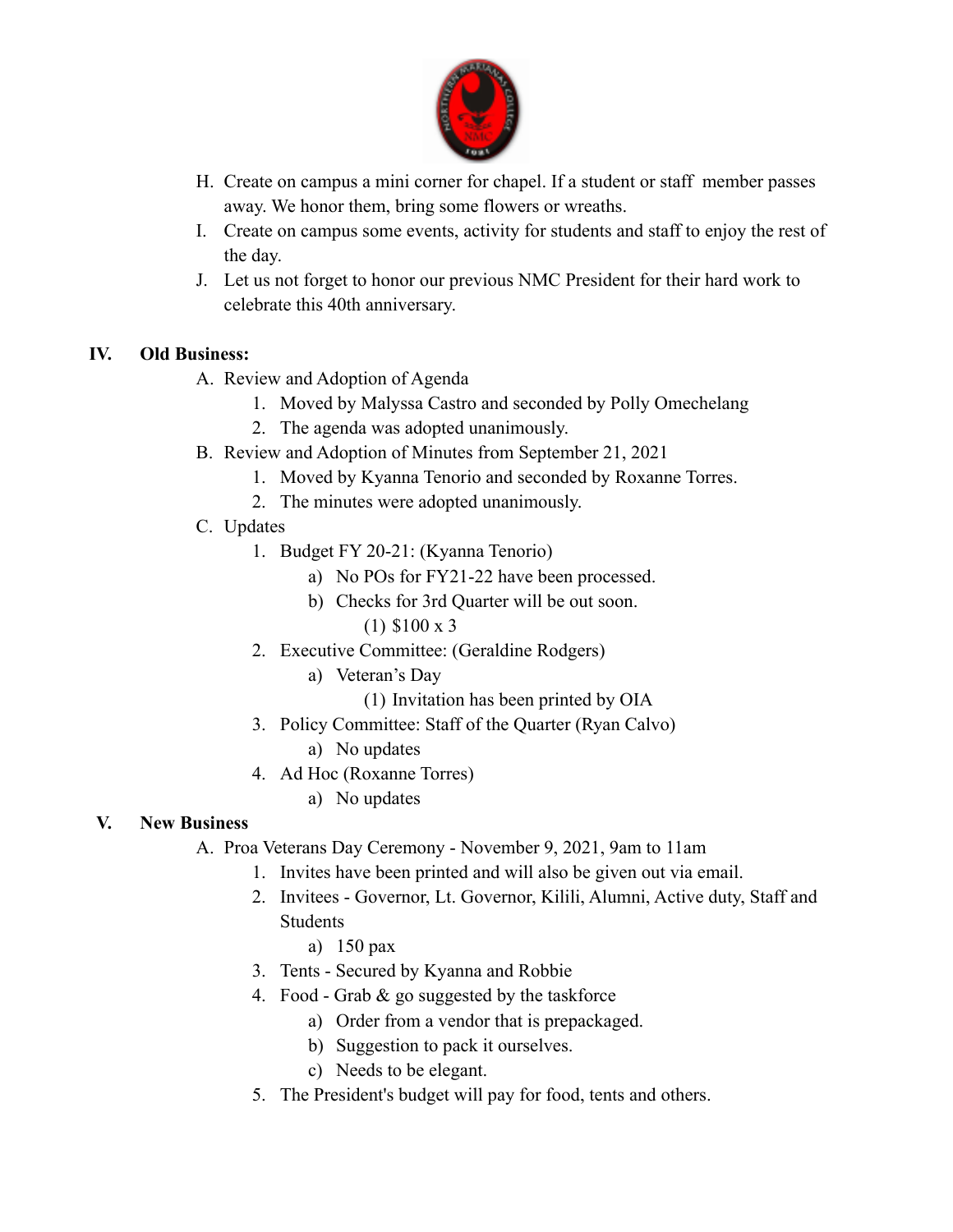

- H. Create on campus a mini corner for chapel. If a student or staff member passes away. We honor them, bring some flowers or wreaths.
- I. Create on campus some events, activity for students and staff to enjoy the rest of the day.
- J. Let us not forget to honor our previous NMC President for their hard work to celebrate this 40th anniversary.

#### **IV. Old Business:**

- A. Review and Adoption of Agenda
	- 1. Moved by Malyssa Castro and seconded by Polly Omechelang
	- 2. The agenda was adopted unanimously.
- B. Review and Adoption of Minutes from September 21, 2021
	- 1. Moved by Kyanna Tenorio and seconded by Roxanne Torres.
	- 2. The minutes were adopted unanimously.
- C. Updates
	- 1. Budget FY 20-21: (Kyanna Tenorio)
		- a) No POs for FY21-22 have been processed.
		- b) Checks for 3rd Quarter will be out soon.
			- (1) \$100 x 3
	- 2. Executive Committee: (Geraldine Rodgers)
		- a) Veteran's Day
			- (1) Invitation has been printed by OIA
	- 3. Policy Committee: Staff of the Quarter (Ryan Calvo)
		- a) No updates
	- 4. Ad Hoc (Roxanne Torres)
		- a) No updates

#### **V. New Business**

- A. Proa Veterans Day Ceremony November 9, 2021, 9am to 11am
	- 1. Invites have been printed and will also be given out via email.
	- 2. Invitees Governor, Lt. Governor, Kilili, Alumni, Active duty, Staff and **Students** 
		- a) 150 pax
	- 3. Tents Secured by Kyanna and Robbie
	- 4. Food Grab & go suggested by the taskforce
		- a) Order from a vendor that is prepackaged.
		- b) Suggestion to pack it ourselves.
		- c) Needs to be elegant.
	- 5. The President's budget will pay for food, tents and others.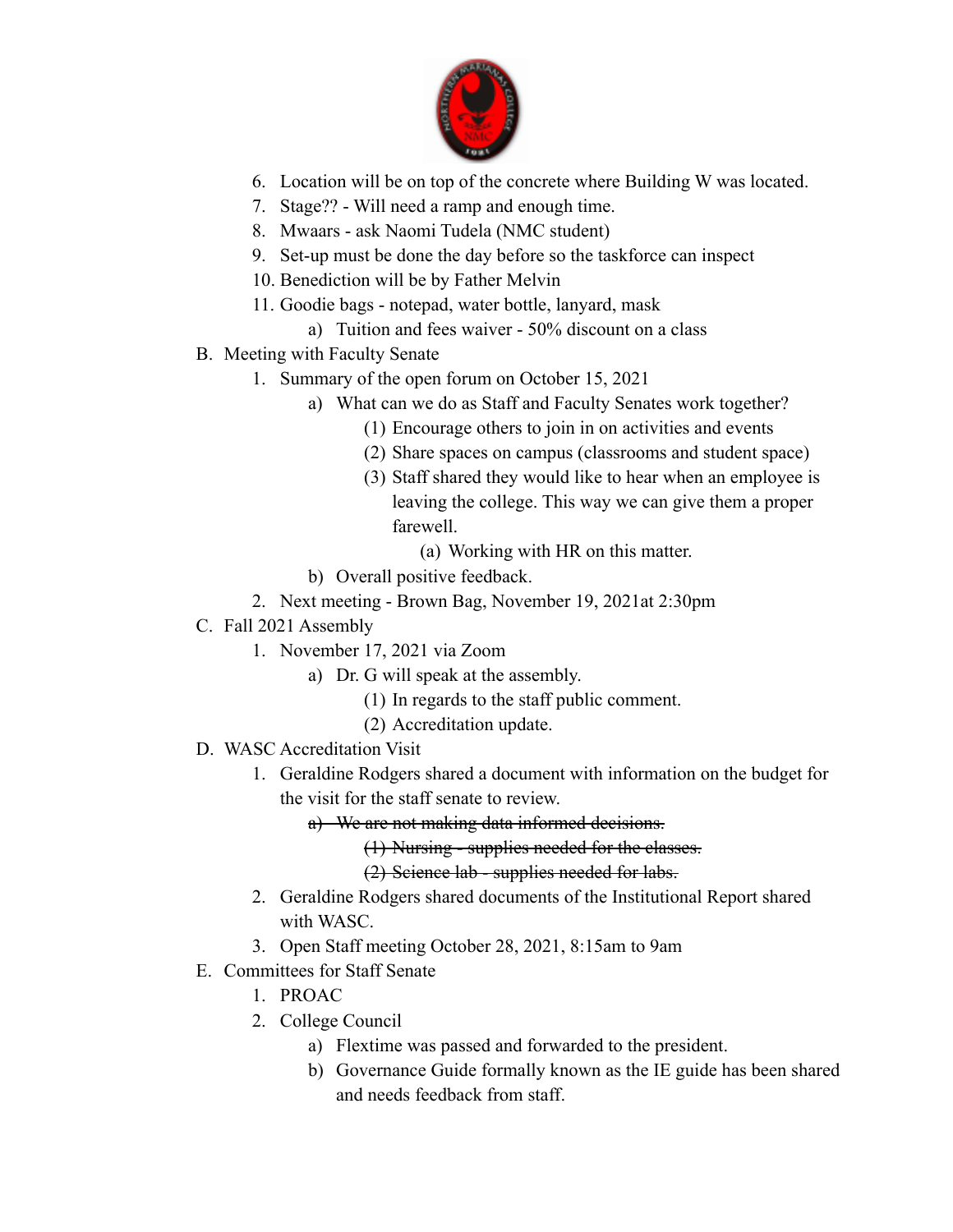

- 6. Location will be on top of the concrete where Building W was located.
- 7. Stage?? Will need a ramp and enough time.
- 8. Mwaars ask Naomi Tudela (NMC student)
- 9. Set-up must be done the day before so the taskforce can inspect
- 10. Benediction will be by Father Melvin
- 11. Goodie bags notepad, water bottle, lanyard, mask
	- a) Tuition and fees waiver 50% discount on a class
- B. Meeting with Faculty Senate
	- 1. Summary of the open forum on October 15, 2021
		- a) What can we do as Staff and Faculty Senates work together?
			- (1) Encourage others to join in on activities and events
			- (2) Share spaces on campus (classrooms and student space)
			- (3) Staff shared they would like to hear when an employee is leaving the college. This way we can give them a proper farewell.
				- (a) Working with HR on this matter.
		- b) Overall positive feedback.
	- 2. Next meeting Brown Bag, November 19, 2021at 2:30pm
- C. Fall 2021 Assembly
	- 1. November 17, 2021 via Zoom
		- a) Dr. G will speak at the assembly.
			- (1) In regards to the staff public comment.
			- (2) Accreditation update.
- D. WASC Accreditation Visit
	- 1. Geraldine Rodgers shared a document with information on the budget for the visit for the staff senate to review.
		- a) We are not making data informed decisions.
			- (1) Nursing supplies needed for the classes.
			- (2) Science lab supplies needed for labs.
	- 2. Geraldine Rodgers shared documents of the Institutional Report shared with WASC.
	- 3. Open Staff meeting October 28, 2021, 8:15am to 9am
- E. Committees for Staff Senate
	- 1. PROAC
	- 2. College Council
		- a) Flextime was passed and forwarded to the president.
		- b) Governance Guide formally known as the IE guide has been shared and needs feedback from staff.